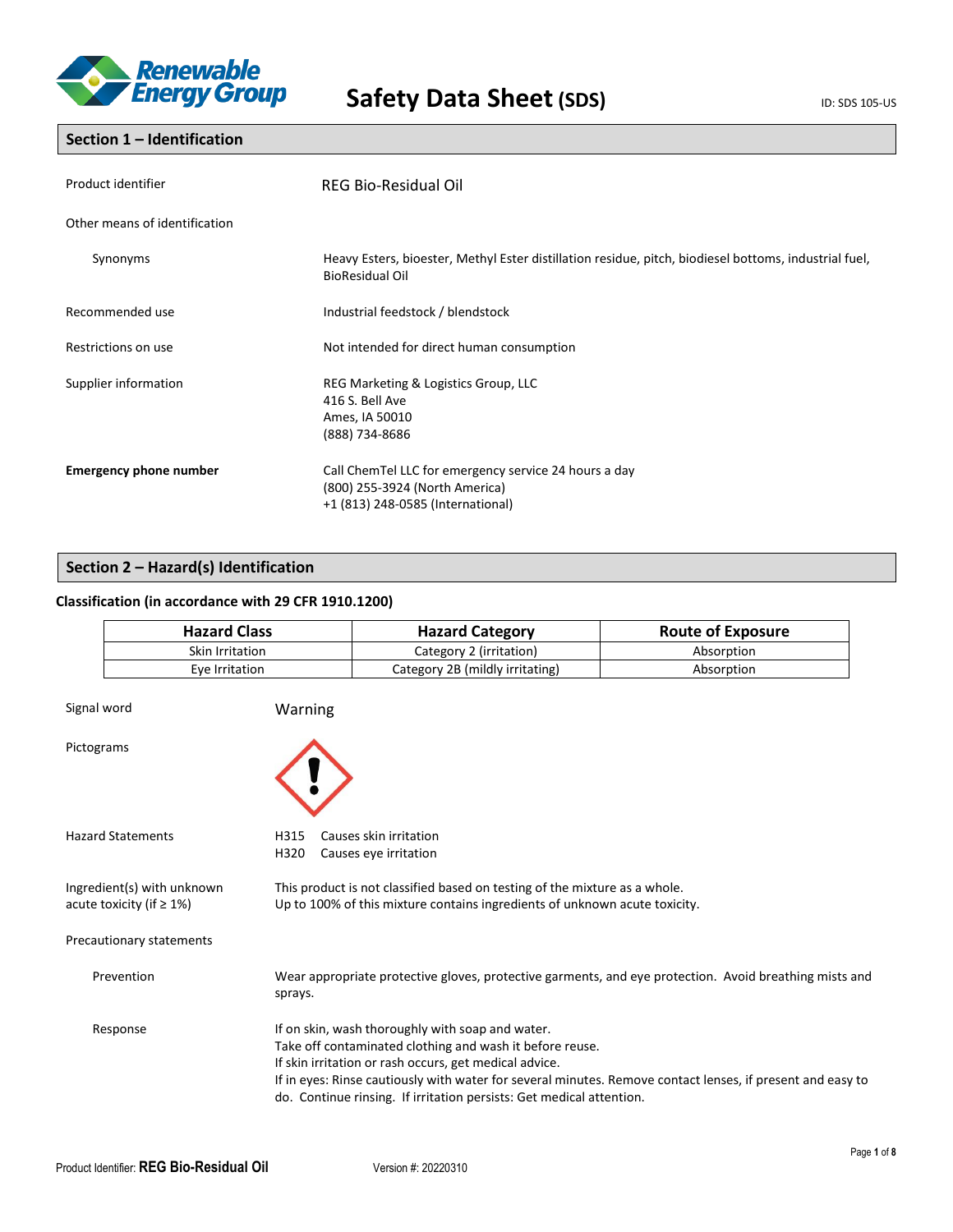

# **Section 1 – Identification**

| Product identifier            | REG Bio-Residual Oil                                                                                                            |
|-------------------------------|---------------------------------------------------------------------------------------------------------------------------------|
| Other means of identification |                                                                                                                                 |
| Synonyms                      | Heavy Esters, bioester, Methyl Ester distillation residue, pitch, biodiesel bottoms, industrial fuel,<br><b>BioResidual Oil</b> |
| Recommended use               | Industrial feedstock / blendstock                                                                                               |
| Restrictions on use           | Not intended for direct human consumption                                                                                       |
| Supplier information          | REG Marketing & Logistics Group, LLC<br>416 S. Bell Ave<br>Ames, IA 50010<br>(888) 734-8686                                     |
| <b>Emergency phone number</b> | Call ChemTel LLC for emergency service 24 hours a day<br>(800) 255-3924 (North America)<br>+1 (813) 248-0585 (International)    |

# **Section 2 – Hazard(s) Identification**

# **Classification (in accordance with 29 CFR 1910.1200)**

| <b>Hazard Class</b> | <b>Hazard Category</b>          | <b>Route of Exposure</b> |
|---------------------|---------------------------------|--------------------------|
| Skin Irritation     | Category 2 (irritation)         | Absorption               |
| Eve Irritation      | Category 2B (mildly irritating) | Absorption               |

| Signal word                                                   | Warning                                                                                                                                                                                                                                                                                                                                                      |
|---------------------------------------------------------------|--------------------------------------------------------------------------------------------------------------------------------------------------------------------------------------------------------------------------------------------------------------------------------------------------------------------------------------------------------------|
| Pictograms                                                    |                                                                                                                                                                                                                                                                                                                                                              |
| <b>Hazard Statements</b>                                      | Causes skin irritation<br>H315<br>H320<br>Causes eye irritation                                                                                                                                                                                                                                                                                              |
| Ingredient(s) with unknown<br>acute toxicity (if $\geq 1\%$ ) | This product is not classified based on testing of the mixture as a whole.<br>Up to 100% of this mixture contains ingredients of unknown acute toxicity.                                                                                                                                                                                                     |
| Precautionary statements                                      |                                                                                                                                                                                                                                                                                                                                                              |
| Prevention                                                    | Wear appropriate protective gloves, protective garments, and eye protection. Avoid breathing mists and<br>sprays.                                                                                                                                                                                                                                            |
| Response                                                      | If on skin, wash thoroughly with soap and water.<br>Take off contaminated clothing and wash it before reuse.<br>If skin irritation or rash occurs, get medical advice.<br>If in eyes: Rinse cautiously with water for several minutes. Remove contact lenses, if present and easy to<br>do. Continue rinsing. If irritation persists: Get medical attention. |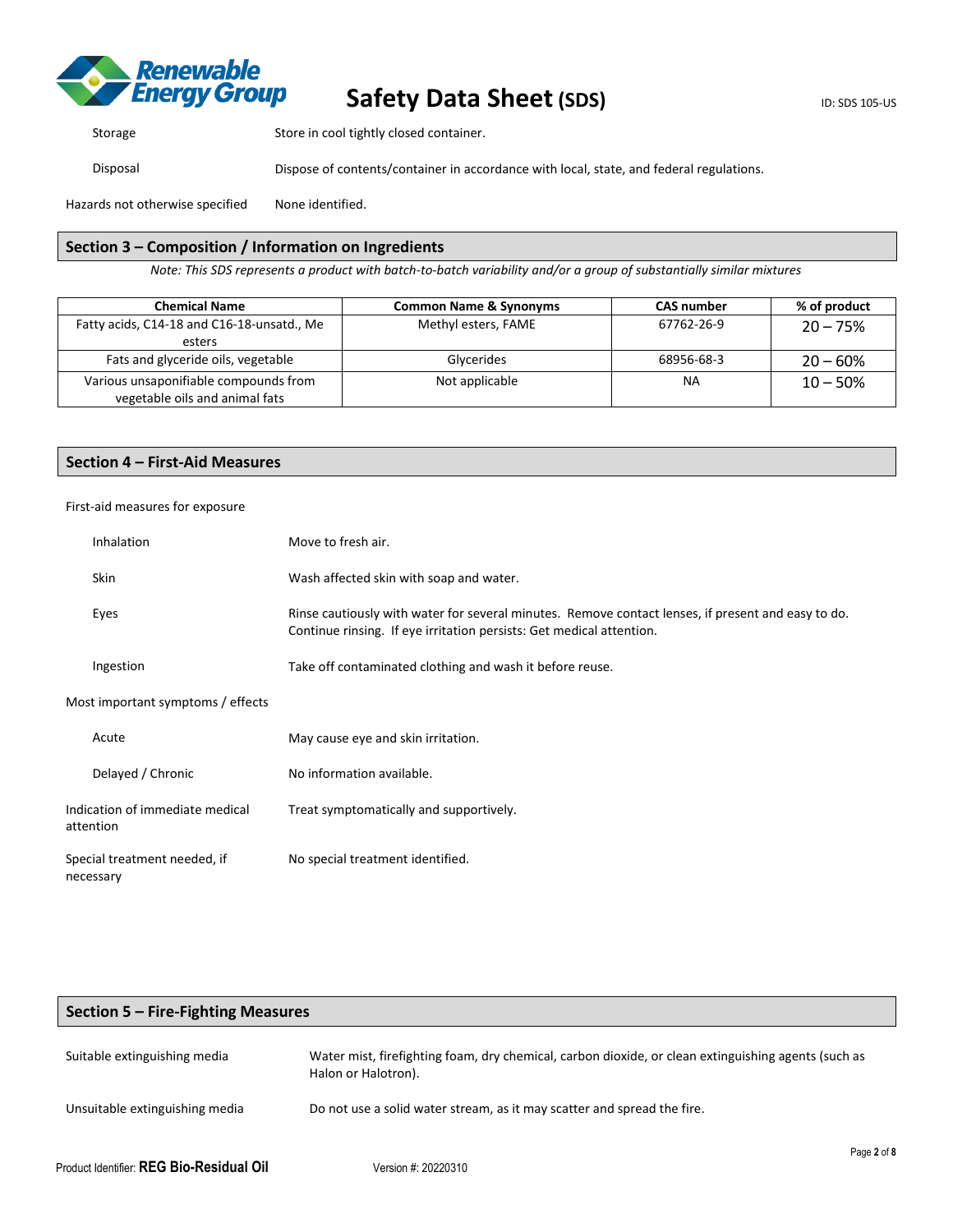

Storage Store in cool tightly closed container.

Disposal Dispose of contents/container in accordance with local, state, and federal regulations.

Hazards not otherwise specified None identified.

## **Section 3 – Composition / Information on Ingredients**

*Note: This SDS represents a product with batch-to-batch variability and/or a group of substantially similar mixtures*

| <b>Chemical Name</b>                                                    | <b>Common Name &amp; Synonyms</b> | <b>CAS number</b> | % of product |
|-------------------------------------------------------------------------|-----------------------------------|-------------------|--------------|
| Fatty acids, C14-18 and C16-18-unsatd., Me                              | Methyl esters, FAME               | 67762-26-9        | $20 - 75%$   |
| esters                                                                  |                                   |                   |              |
| Fats and glyceride oils, vegetable                                      | Glycerides                        | 68956-68-3        | $20 - 60%$   |
| Various unsaponifiable compounds from<br>vegetable oils and animal fats | Not applicable                    | ΝA                | $10 - 50%$   |

## **Section 4 – First-Aid Measures**

## First-aid measures for exposure

| <b>Inhalation</b>                            | Move to fresh air.                                                                                                                                                         |
|----------------------------------------------|----------------------------------------------------------------------------------------------------------------------------------------------------------------------------|
| Skin                                         | Wash affected skin with soap and water.                                                                                                                                    |
| Eyes                                         | Rinse cautiously with water for several minutes. Remove contact lenses, if present and easy to do.<br>Continue rinsing. If eye irritation persists: Get medical attention. |
| Ingestion                                    | Take off contaminated clothing and wash it before reuse.                                                                                                                   |
| Most important symptoms / effects            |                                                                                                                                                                            |
| Acute                                        | May cause eye and skin irritation.                                                                                                                                         |
| Delayed / Chronic                            | No information available.                                                                                                                                                  |
| Indication of immediate medical<br>attention | Treat symptomatically and supportively.                                                                                                                                    |
| Special treatment needed, if<br>necessary    | No special treatment identified.                                                                                                                                           |
|                                              |                                                                                                                                                                            |

# **Section 5 – Fire-Fighting Measures**

| Suitable extinguishing media   | Water mist, firefighting foam, dry chemical, carbon dioxide, or clean extinguishing agents (such as<br>Halon or Halotron). |          |
|--------------------------------|----------------------------------------------------------------------------------------------------------------------------|----------|
| Unsuitable extinguishing media | Do not use a solid water stream, as it may scatter and spread the fire.                                                    |          |
|                                |                                                                                                                            | Page 2 g |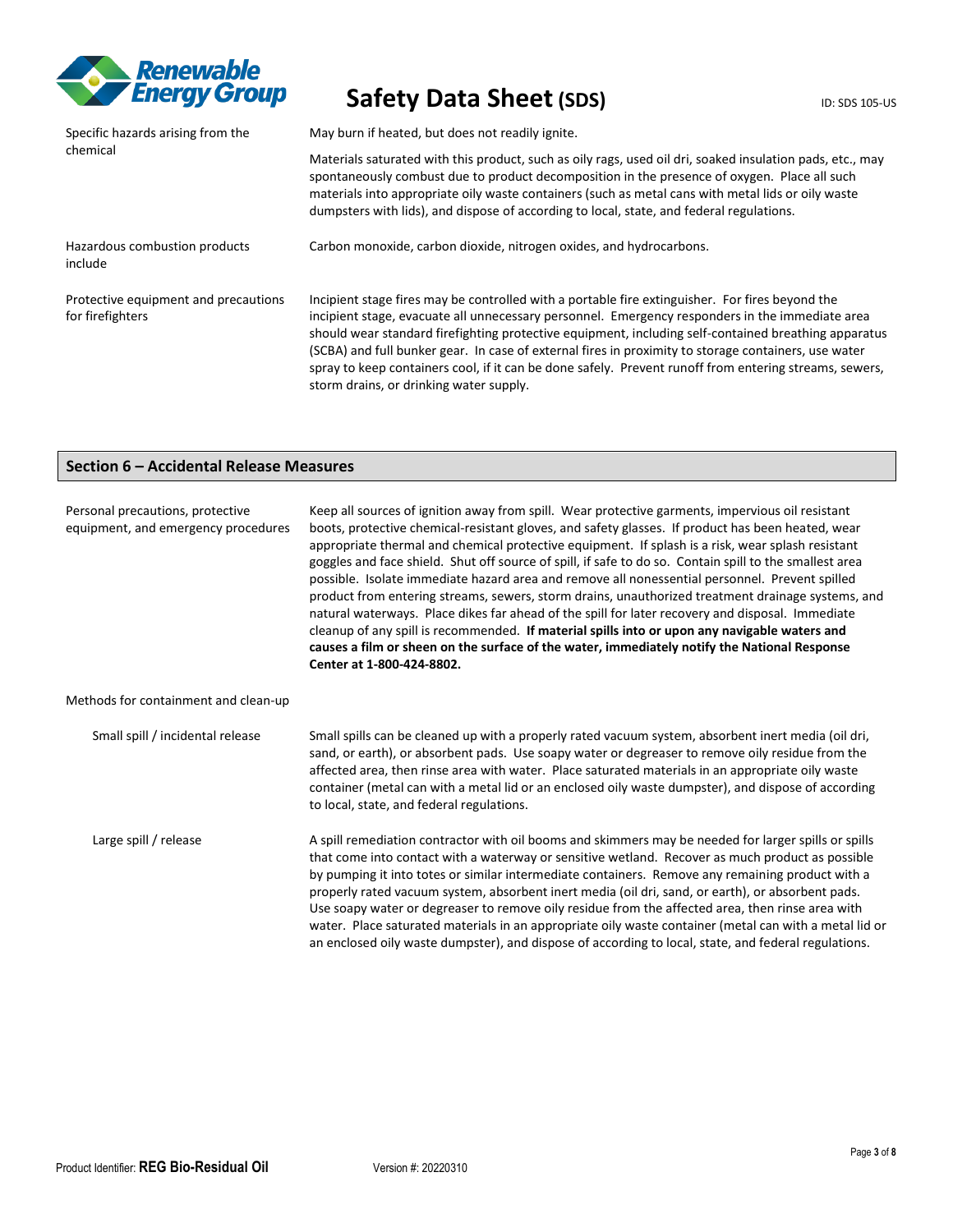

| Specific hazards arising from the                        | May burn if heated, but does not readily ignite.                                                                                                                                                                                                                                                                                                                                                                                                                                                                                                                        |  |  |
|----------------------------------------------------------|-------------------------------------------------------------------------------------------------------------------------------------------------------------------------------------------------------------------------------------------------------------------------------------------------------------------------------------------------------------------------------------------------------------------------------------------------------------------------------------------------------------------------------------------------------------------------|--|--|
| chemical                                                 | Materials saturated with this product, such as oily rags, used oil dri, soaked insulation pads, etc., may<br>spontaneously combust due to product decomposition in the presence of oxygen. Place all such<br>materials into appropriate oily waste containers (such as metal cans with metal lids or oily waste<br>dumpsters with lids), and dispose of according to local, state, and federal regulations.                                                                                                                                                             |  |  |
| Hazardous combustion products<br>include                 | Carbon monoxide, carbon dioxide, nitrogen oxides, and hydrocarbons.                                                                                                                                                                                                                                                                                                                                                                                                                                                                                                     |  |  |
| Protective equipment and precautions<br>for firefighters | Incipient stage fires may be controlled with a portable fire extinguisher. For fires beyond the<br>incipient stage, evacuate all unnecessary personnel. Emergency responders in the immediate area<br>should wear standard firefighting protective equipment, including self-contained breathing apparatus<br>(SCBA) and full bunker gear. In case of external fires in proximity to storage containers, use water<br>spray to keep containers cool, if it can be done safely. Prevent runoff from entering streams, sewers,<br>storm drains, or drinking water supply. |  |  |

# **Section 6 – Accidental Release Measures**

| Personal precautions, protective<br>equipment, and emergency procedures | Keep all sources of ignition away from spill. Wear protective garments, impervious oil resistant<br>boots, protective chemical-resistant gloves, and safety glasses. If product has been heated, wear<br>appropriate thermal and chemical protective equipment. If splash is a risk, wear splash resistant<br>goggles and face shield. Shut off source of spill, if safe to do so. Contain spill to the smallest area<br>possible. Isolate immediate hazard area and remove all nonessential personnel. Prevent spilled<br>product from entering streams, sewers, storm drains, unauthorized treatment drainage systems, and<br>natural waterways. Place dikes far ahead of the spill for later recovery and disposal. Immediate<br>cleanup of any spill is recommended. If material spills into or upon any navigable waters and<br>causes a film or sheen on the surface of the water, immediately notify the National Response<br>Center at 1-800-424-8802. |
|-------------------------------------------------------------------------|----------------------------------------------------------------------------------------------------------------------------------------------------------------------------------------------------------------------------------------------------------------------------------------------------------------------------------------------------------------------------------------------------------------------------------------------------------------------------------------------------------------------------------------------------------------------------------------------------------------------------------------------------------------------------------------------------------------------------------------------------------------------------------------------------------------------------------------------------------------------------------------------------------------------------------------------------------------|
| Methods for containment and clean-up                                    |                                                                                                                                                                                                                                                                                                                                                                                                                                                                                                                                                                                                                                                                                                                                                                                                                                                                                                                                                                |
| Small spill / incidental release                                        | Small spills can be cleaned up with a properly rated vacuum system, absorbent inert media (oil dri,<br>sand, or earth), or absorbent pads. Use soapy water or degreaser to remove oily residue from the<br>affected area, then rinse area with water. Place saturated materials in an appropriate oily waste<br>container (metal can with a metal lid or an enclosed oily waste dumpster), and dispose of according<br>to local, state, and federal regulations.                                                                                                                                                                                                                                                                                                                                                                                                                                                                                               |
| Large spill / release                                                   | A spill remediation contractor with oil booms and skimmers may be needed for larger spills or spills<br>that come into contact with a waterway or sensitive wetland. Recover as much product as possible<br>by pumping it into totes or similar intermediate containers. Remove any remaining product with a<br>properly rated vacuum system, absorbent inert media (oil dri, sand, or earth), or absorbent pads.<br>Use soapy water or degreaser to remove oily residue from the affected area, then rinse area with<br>water. Place saturated materials in an appropriate oily waste container (metal can with a metal lid or<br>an enclosed oily waste dumpster), and dispose of according to local, state, and federal regulations.                                                                                                                                                                                                                        |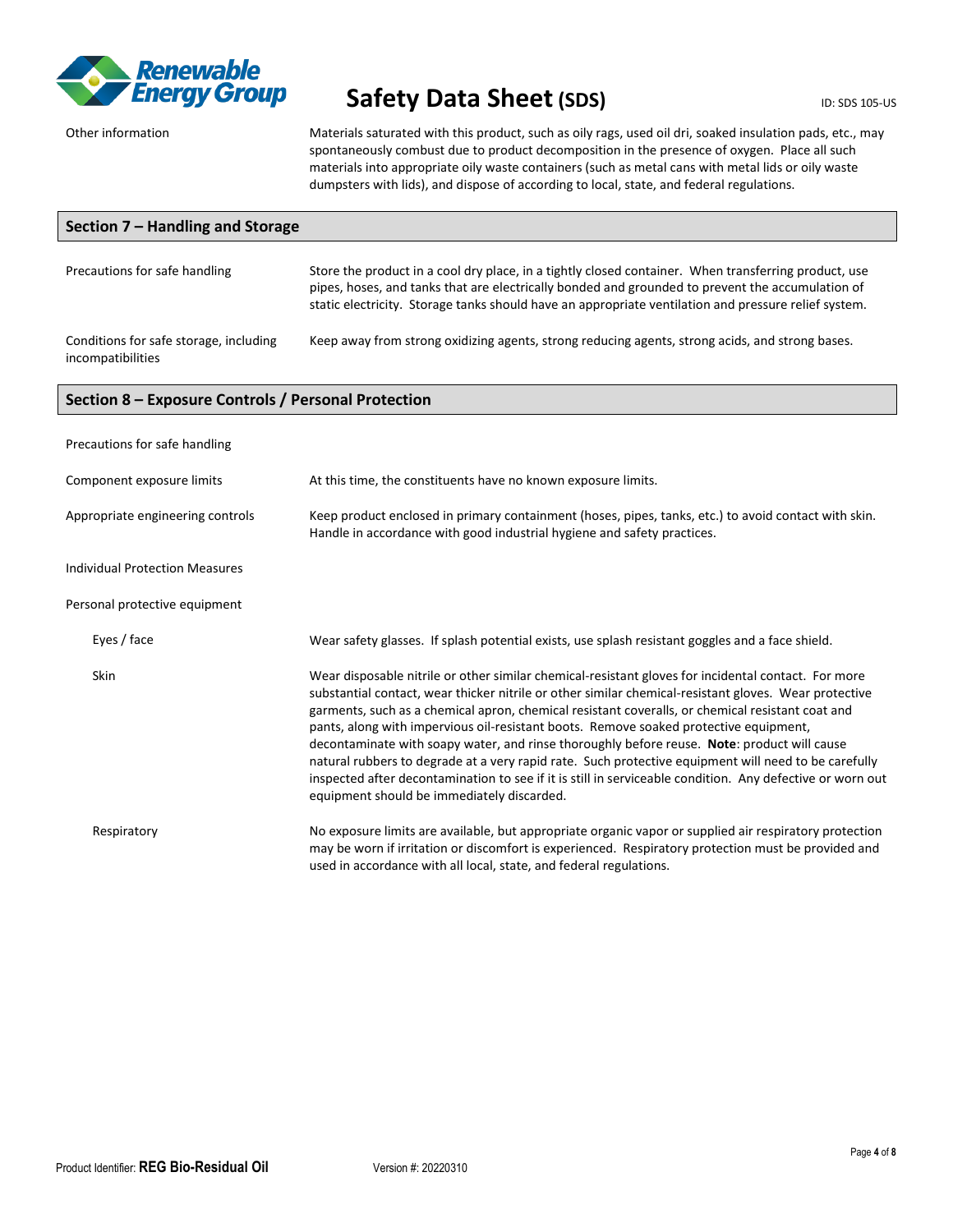

Other information Materials saturated with this product, such as oily rags, used oil dri, soaked insulation pads, etc., may spontaneously combust due to product decomposition in the presence of oxygen. Place all such materials into appropriate oily waste containers (such as metal cans with metal lids or oily waste dumpsters with lids), and dispose of according to local, state, and federal regulations.

| Section 7 - Handling and Storage                            |                                                                                                                                                                                                                                                                                                                                                                                                                                                                                                                                                                                                                                                                                                                                                                             |  |
|-------------------------------------------------------------|-----------------------------------------------------------------------------------------------------------------------------------------------------------------------------------------------------------------------------------------------------------------------------------------------------------------------------------------------------------------------------------------------------------------------------------------------------------------------------------------------------------------------------------------------------------------------------------------------------------------------------------------------------------------------------------------------------------------------------------------------------------------------------|--|
| Precautions for safe handling                               | Store the product in a cool dry place, in a tightly closed container. When transferring product, use<br>pipes, hoses, and tanks that are electrically bonded and grounded to prevent the accumulation of<br>static electricity. Storage tanks should have an appropriate ventilation and pressure relief system.                                                                                                                                                                                                                                                                                                                                                                                                                                                            |  |
| Conditions for safe storage, including<br>incompatibilities | Keep away from strong oxidizing agents, strong reducing agents, strong acids, and strong bases.                                                                                                                                                                                                                                                                                                                                                                                                                                                                                                                                                                                                                                                                             |  |
| Section 8 - Exposure Controls / Personal Protection         |                                                                                                                                                                                                                                                                                                                                                                                                                                                                                                                                                                                                                                                                                                                                                                             |  |
| Precautions for safe handling                               |                                                                                                                                                                                                                                                                                                                                                                                                                                                                                                                                                                                                                                                                                                                                                                             |  |
| Component exposure limits                                   | At this time, the constituents have no known exposure limits.                                                                                                                                                                                                                                                                                                                                                                                                                                                                                                                                                                                                                                                                                                               |  |
| Appropriate engineering controls                            | Keep product enclosed in primary containment (hoses, pipes, tanks, etc.) to avoid contact with skin.<br>Handle in accordance with good industrial hygiene and safety practices.                                                                                                                                                                                                                                                                                                                                                                                                                                                                                                                                                                                             |  |
| <b>Individual Protection Measures</b>                       |                                                                                                                                                                                                                                                                                                                                                                                                                                                                                                                                                                                                                                                                                                                                                                             |  |
| Personal protective equipment                               |                                                                                                                                                                                                                                                                                                                                                                                                                                                                                                                                                                                                                                                                                                                                                                             |  |
| Eyes / face                                                 | Wear safety glasses. If splash potential exists, use splash resistant goggles and a face shield.                                                                                                                                                                                                                                                                                                                                                                                                                                                                                                                                                                                                                                                                            |  |
| Skin                                                        | Wear disposable nitrile or other similar chemical-resistant gloves for incidental contact. For more<br>substantial contact, wear thicker nitrile or other similar chemical-resistant gloves. Wear protective<br>garments, such as a chemical apron, chemical resistant coveralls, or chemical resistant coat and<br>pants, along with impervious oil-resistant boots. Remove soaked protective equipment,<br>decontaminate with soapy water, and rinse thoroughly before reuse. Note: product will cause<br>natural rubbers to degrade at a very rapid rate. Such protective equipment will need to be carefully<br>inspected after decontamination to see if it is still in serviceable condition. Any defective or worn out<br>equipment should be immediately discarded. |  |
| Respiratory                                                 | No exposure limits are available, but appropriate organic vapor or supplied air respiratory protection<br>may be worn if irritation or discomfort is experienced. Respiratory protection must be provided and<br>used in accordance with all local, state, and federal regulations.                                                                                                                                                                                                                                                                                                                                                                                                                                                                                         |  |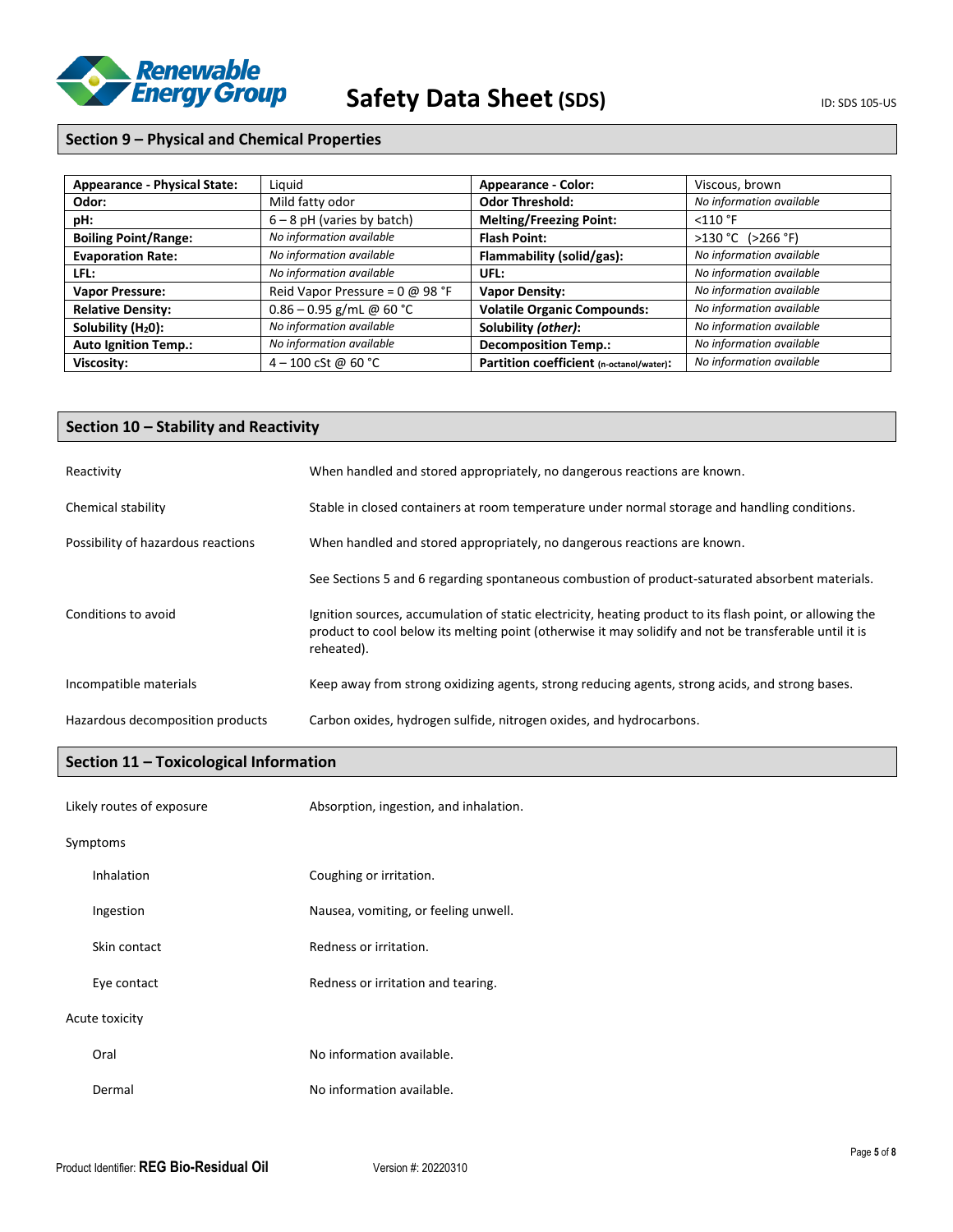

# **Section 9 – Physical and Chemical Properties**

| <b>Appearance - Physical State:</b> | Liguid                                 | <b>Appearance - Color:</b>               | Viscous, brown           |
|-------------------------------------|----------------------------------------|------------------------------------------|--------------------------|
| Odor:                               | Mild fatty odor                        | <b>Odor Threshold:</b>                   | No information available |
| pH:                                 | $6 - 8$ pH (varies by batch)           | <b>Melting/Freezing Point:</b>           | $<$ 110 °F               |
| <b>Boiling Point/Range:</b>         | No information available               | <b>Flash Point:</b>                      | $>130 °C$ ( $>266 °F$ )  |
| <b>Evaporation Rate:</b>            | No information available               | Flammability (solid/gas):                | No information available |
| LFL:                                | No information available               | UFL:                                     | No information available |
| <b>Vapor Pressure:</b>              | Reid Vapor Pressure = $0 \omega$ 98 °F | <b>Vapor Density:</b>                    | No information available |
| <b>Relative Density:</b>            | $0.86 - 0.95$ g/mL @ 60 °C             | <b>Volatile Organic Compounds:</b>       | No information available |
| Solubility $(H20)$ :                | No information available               | Solubility (other):                      | No information available |
| <b>Auto Ignition Temp.:</b>         | No information available               | <b>Decomposition Temp.:</b>              | No information available |
| Viscosity:                          | 4 – 100 cSt @ 60 °C                    | Partition coefficient (n-octanol/water): | No information available |

# **Section 10 – Stability and Reactivity**

| Reactivity                         | When handled and stored appropriately, no dangerous reactions are known.                                                                                                                                                          |
|------------------------------------|-----------------------------------------------------------------------------------------------------------------------------------------------------------------------------------------------------------------------------------|
| Chemical stability                 | Stable in closed containers at room temperature under normal storage and handling conditions.                                                                                                                                     |
| Possibility of hazardous reactions | When handled and stored appropriately, no dangerous reactions are known.                                                                                                                                                          |
|                                    | See Sections 5 and 6 regarding spontaneous combustion of product-saturated absorbent materials.                                                                                                                                   |
| Conditions to avoid                | Ignition sources, accumulation of static electricity, heating product to its flash point, or allowing the<br>product to cool below its melting point (otherwise it may solidify and not be transferable until it is<br>reheated). |
| Incompatible materials             | Keep away from strong oxidizing agents, strong reducing agents, strong acids, and strong bases.                                                                                                                                   |
| Hazardous decomposition products   | Carbon oxides, hydrogen sulfide, nitrogen oxides, and hydrocarbons.                                                                                                                                                               |

# **Section 11 – Toxicological Information**

| Likely routes of exposure |                   | Absorption, ingestion, and inhalation. |
|---------------------------|-------------------|----------------------------------------|
| Symptoms                  |                   |                                        |
|                           | <b>Inhalation</b> | Coughing or irritation.                |
|                           | Ingestion         | Nausea, vomiting, or feeling unwell.   |
|                           | Skin contact      | Redness or irritation.                 |
|                           | Eye contact       | Redness or irritation and tearing.     |
|                           | Acute toxicity    |                                        |
|                           | Oral              | No information available.              |
|                           | Dermal            | No information available.              |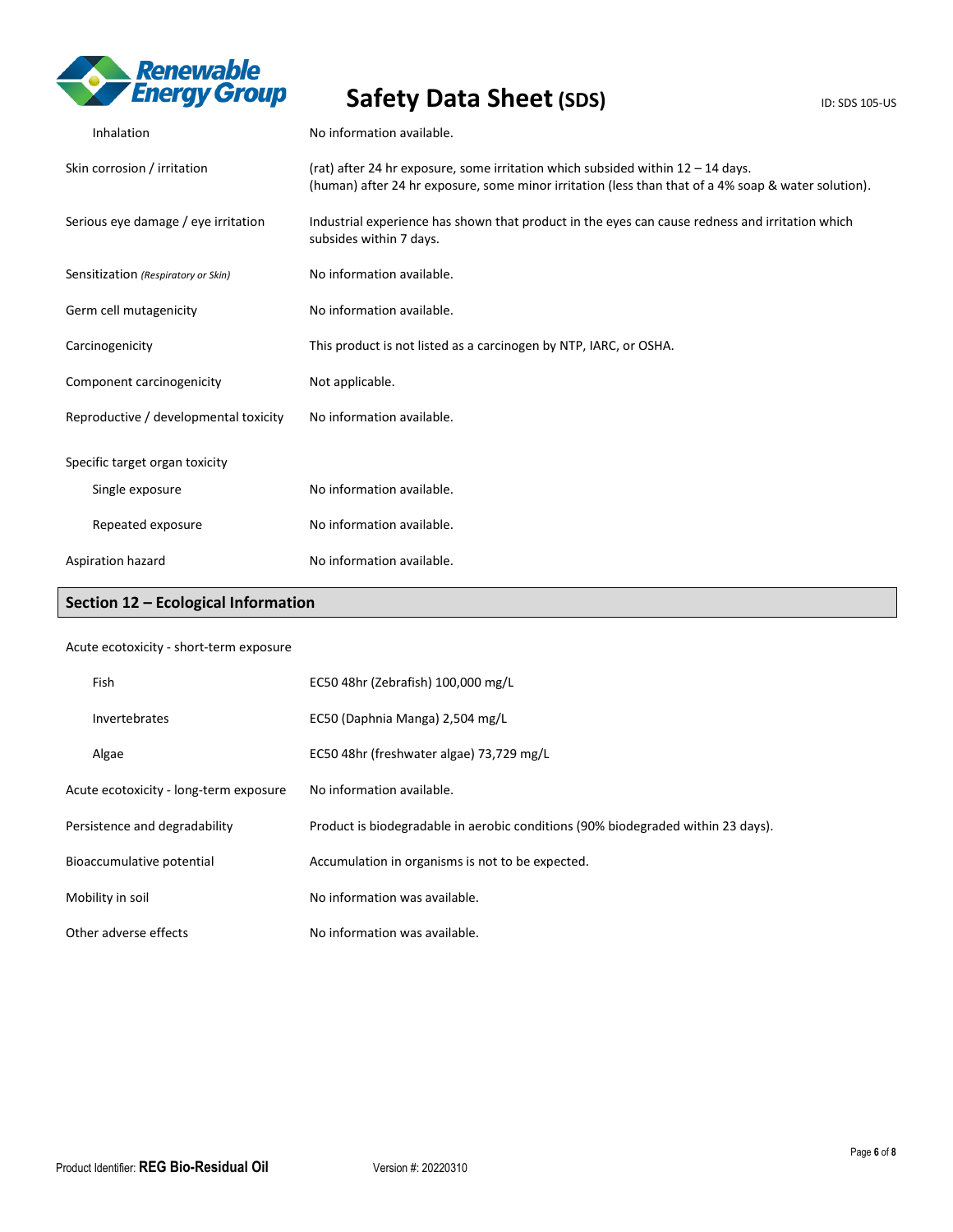

| Inhalation                            | No information available.                                                                                                                                                                |
|---------------------------------------|------------------------------------------------------------------------------------------------------------------------------------------------------------------------------------------|
| Skin corrosion / irritation           | (rat) after 24 hr exposure, some irritation which subsided within $12 - 14$ days.<br>(human) after 24 hr exposure, some minor irritation (less than that of a 4% soap & water solution). |
| Serious eye damage / eye irritation   | Industrial experience has shown that product in the eyes can cause redness and irritation which<br>subsides within 7 days.                                                               |
| Sensitization (Respiratory or Skin)   | No information available.                                                                                                                                                                |
| Germ cell mutagenicity                | No information available.                                                                                                                                                                |
| Carcinogenicity                       | This product is not listed as a carcinogen by NTP, IARC, or OSHA.                                                                                                                        |
| Component carcinogenicity             | Not applicable.                                                                                                                                                                          |
| Reproductive / developmental toxicity | No information available.                                                                                                                                                                |
| Specific target organ toxicity        |                                                                                                                                                                                          |
| Single exposure                       | No information available.                                                                                                                                                                |
| Repeated exposure                     | No information available.                                                                                                                                                                |
| Aspiration hazard                     | No information available.                                                                                                                                                                |

# **Section 12 – Ecological Information**

## Acute ecotoxicity - short-term exposure

| Fish                                   | EC50 48hr (Zebrafish) 100,000 mg/L                                               |
|----------------------------------------|----------------------------------------------------------------------------------|
| Invertebrates                          | EC50 (Daphnia Manga) 2,504 mg/L                                                  |
| Algae                                  | EC50 48hr (freshwater algae) 73,729 mg/L                                         |
| Acute ecotoxicity - long-term exposure | No information available.                                                        |
| Persistence and degradability          | Product is biodegradable in aerobic conditions (90% biodegraded within 23 days). |
| Bioaccumulative potential              | Accumulation in organisms is not to be expected.                                 |
| Mobility in soil                       | No information was available.                                                    |
| Other adverse effects                  | No information was available.                                                    |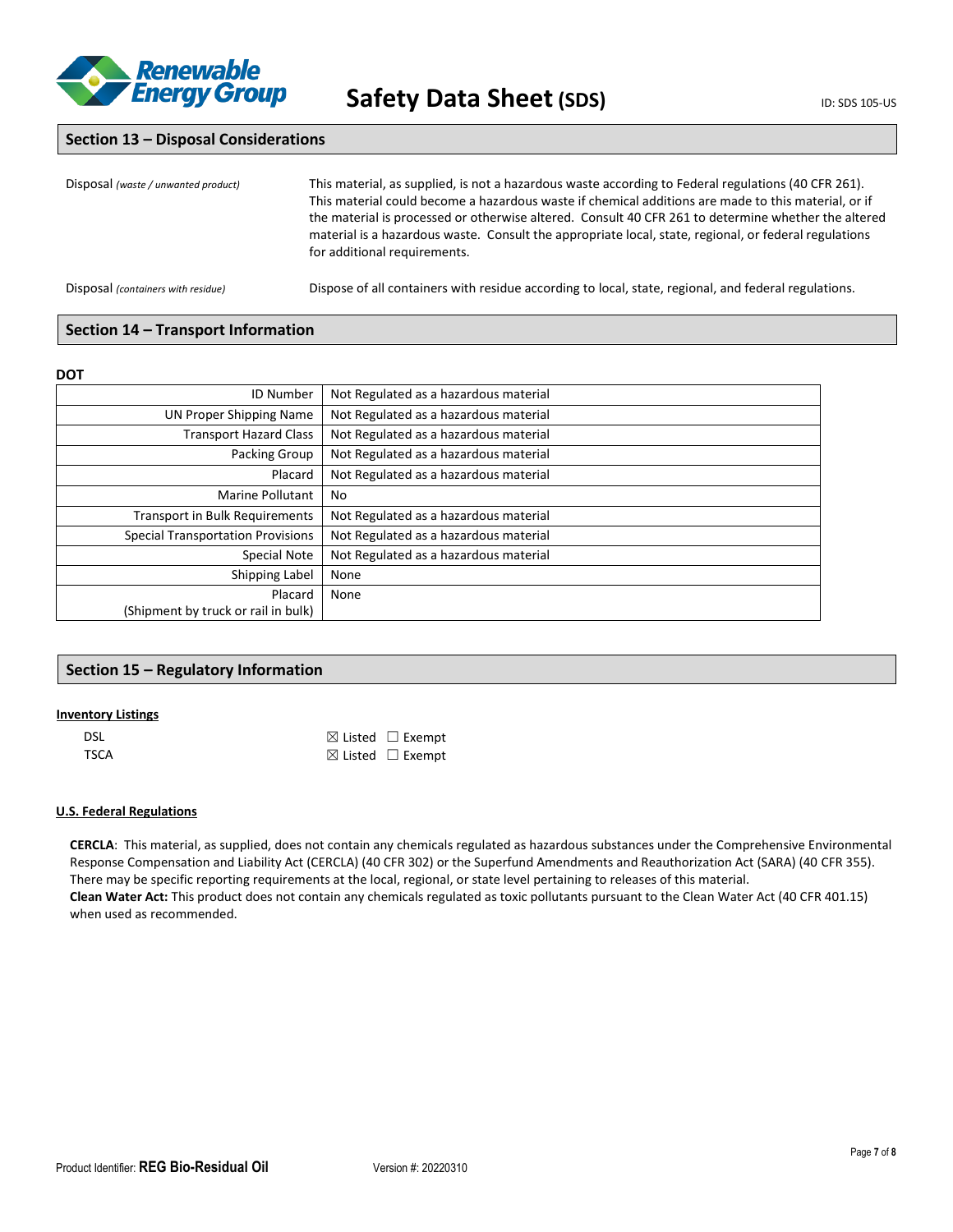

## **Section 13 – Disposal Considerations**

| Disposal (waste / unwanted product) | This material, as supplied, is not a hazardous waste according to Federal regulations (40 CFR 261).<br>This material could become a hazardous waste if chemical additions are made to this material, or if<br>the material is processed or otherwise altered. Consult 40 CFR 261 to determine whether the altered<br>material is a hazardous waste. Consult the appropriate local, state, regional, or federal regulations<br>for additional requirements. |
|-------------------------------------|------------------------------------------------------------------------------------------------------------------------------------------------------------------------------------------------------------------------------------------------------------------------------------------------------------------------------------------------------------------------------------------------------------------------------------------------------------|
| Disposal (containers with residue)  | Dispose of all containers with residue according to local, state, regional, and federal regulations.                                                                                                                                                                                                                                                                                                                                                       |

## **Section 14 – Transport Information**

### **DOT**

| Not Regulated as a hazardous material |
|---------------------------------------|
| Not Regulated as a hazardous material |
| Not Regulated as a hazardous material |
| Not Regulated as a hazardous material |
| Not Regulated as a hazardous material |
| No                                    |
| Not Regulated as a hazardous material |
| Not Regulated as a hazardous material |
| Not Regulated as a hazardous material |
| None                                  |
| None                                  |
|                                       |
|                                       |

## **Section 15 – Regulatory Information**

### **Inventory Listings**

| <b>DSL</b> | $\boxtimes$ Listed $\Box$ Exempt |
|------------|----------------------------------|
| TSCA       | $\boxtimes$ Listed $\Box$ Exempt |

## **U.S. Federal Regulations**

**CERCLA**: This material, as supplied, does not contain any chemicals regulated as hazardous substances under the Comprehensive Environmental Response Compensation and Liability Act (CERCLA) (40 CFR 302) or the Superfund Amendments and Reauthorization Act (SARA) (40 CFR 355). There may be specific reporting requirements at the local, regional, or state level pertaining to releases of this material. **Clean Water Act:** This product does not contain any chemicals regulated as toxic pollutants pursuant to the Clean Water Act (40 CFR 401.15) when used as recommended.